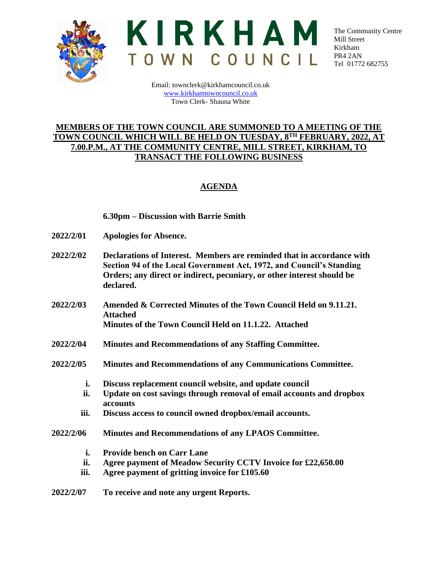



The Community Centre Mill Street Kirkham PR4 2AN Tel 01772 682755

Email: townclerk@kirkhamcouncil.co.uk [www.kirkhamtowncouncil.co.uk](http://www.kirkhamtowncouncil.co.uk/) Town Clerk- Shauna White

## **MEMBERS OF THE TOWN COUNCIL ARE SUMMONED TO A MEETING OF THE TOWN COUNCIL WHICH WILL BE HELD ON TUESDAY, 8TH FEBRUARY, 2022, AT 7.00.P.M., AT THE COMMUNITY CENTRE, MILL STREET, KIRKHAM, TO TRANSACT THE FOLLOWING BUSINESS**

## **AGENDA**

## **6.30pm – Discussion with Barrie Smith**

- **2022/2/01 Apologies for Absence.**
- **2022/2/02 Declarations of Interest. Members are reminded that in accordance with Section 94 of the Local Government Act, 1972, and Council's Standing Orders; any direct or indirect, pecuniary, or other interest should be declared.**
- **2022/2/03 Amended & Corrected Minutes of the Town Council Held on 9.11.21. Attached Minutes of the Town Council Held on 11.1.22. Attached**
- **2022/2/04 Minutes and Recommendations of any Staffing Committee.**
- **2022/2/05 Minutes and Recommendations of any Communications Committee.**
	- **i. Discuss replacement council website, and update council**
	- **ii. Update on cost savings through removal of email accounts and dropbox accounts**
	- **iii. Discuss access to council owned dropbox/email accounts.**
- **2022/2/06 Minutes and Recommendations of any LPAOS Committee.**
	- **i. Provide bench on Carr Lane**
	- **ii. Agree payment of Meadow Security CCTV Invoice for £22,650.00**
	- **iii. Agree payment of gritting invoice for £105.60**
- **2022/2/07 To receive and note any urgent Reports.**